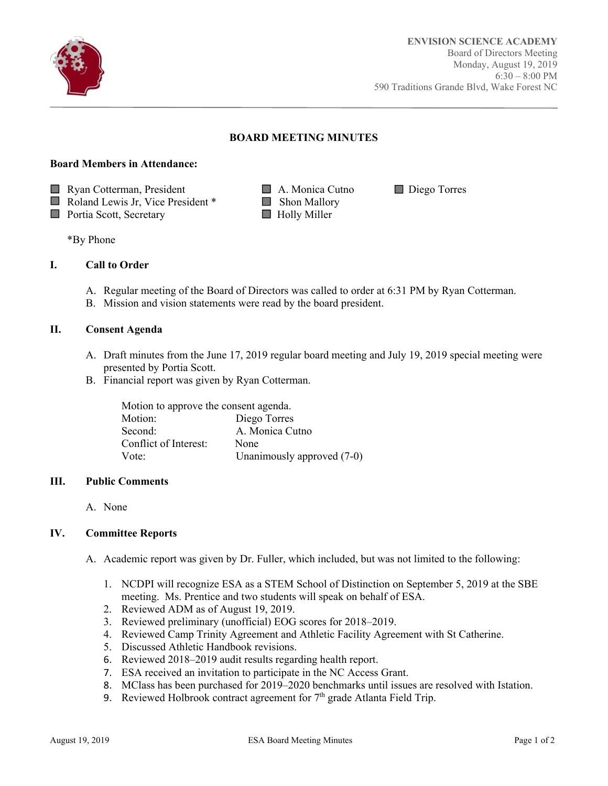

Ī

## **BOARD MEETING MINUTES**

# **Board Members in Attendance:**

■ Ryan Cotterman, President ■ A. Monica Cutno ■ Diego Torres

- $\Box$  Roland Lewis Jr, Vice President \*  $\Box$  Shon Mallory
- **Portia Scott, Secretary Holly Miller**
- 

\*By Phone

# **I. Call to Order**

- A. Regular meeting of the Board of Directors was called to order at 6:31 PM by Ryan Cotterman.
- B. Mission and vision statements were read by the board president.

### **II. Consent Agenda**

- A. Draft minutes from the June 17, 2019 regular board meeting and July 19, 2019 special meeting were presented by Portia Scott.
- B. Financial report was given by Ryan Cotterman.

| Motion to approve the consent agenda. |                            |  |
|---------------------------------------|----------------------------|--|
| Motion:                               | Diego Torres               |  |
| Second:                               | A. Monica Cutno            |  |
| Conflict of Interest:                 | None                       |  |
| Vote:                                 | Unanimously approved (7-0) |  |

#### **III. Public Comments**

A. None

### **IV. Committee Reports**

- A. Academic report was given by Dr. Fuller, which included, but was not limited to the following:
	- 1. NCDPI will recognize ESA as a STEM School of Distinction on September 5, 2019 at the SBE meeting. Ms. Prentice and two students will speak on behalf of ESA.
	- 2. Reviewed ADM as of August 19, 2019.
	- 3. Reviewed preliminary (unofficial) EOG scores for 2018–2019.
	- 4. Reviewed Camp Trinity Agreement and Athletic Facility Agreement with St Catherine.
	- 5. Discussed Athletic Handbook revisions.
	- 6. Reviewed 2018–2019 audit results regarding health report.
	- 7. ESA received an invitation to participate in the NC Access Grant.
	- 8. MClass has been purchased for 2019–2020 benchmarks until issues are resolved with Istation.
	- 9. Reviewed Holbrook contract agreement for  $7<sup>th</sup>$  grade Atlanta Field Trip.